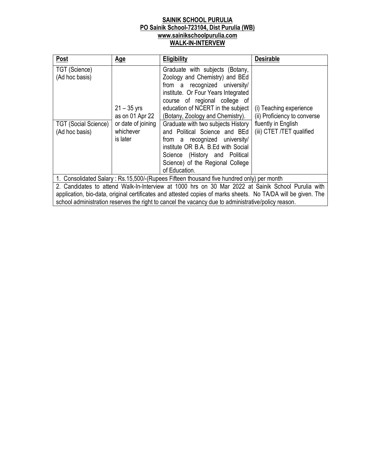## **SAINIK SCHOOL PURULIA PO Sainik School-723104, Dist Purulia (WB) www.sainikschoolpurulia.com WALK-IN-INTERVEW**

| Post                                                                             | <u>Age</u>                                                                      | <b>Eligibility</b>                                                                                                                                                                                                                                                                                                                                                                                                                                                                       | <b>Desirable</b>                                                                                            |
|----------------------------------------------------------------------------------|---------------------------------------------------------------------------------|------------------------------------------------------------------------------------------------------------------------------------------------------------------------------------------------------------------------------------------------------------------------------------------------------------------------------------------------------------------------------------------------------------------------------------------------------------------------------------------|-------------------------------------------------------------------------------------------------------------|
| TGT (Science)<br>(Ad hoc basis)<br><b>TGT (Social Science)</b><br>(Ad hoc basis) | $21 - 35$ yrs<br>as on 01 Apr 22<br>or date of joining<br>whichever<br>is later | Graduate with subjects (Botany,<br>Zoology and Chemistry) and BEd<br>from a recognized university/<br>institute. Or Four Years Integrated<br>course of regional college of<br>education of NCERT in the subject<br>(Botany, Zoology and Chemistry).<br>Graduate with two subjects History<br>and Political Science and BEd<br>from a recognized university/<br>institute OR B.A. B.Ed with Social<br>Science (History and Political<br>Science) of the Regional College<br>of Education. | (i) Teaching experience<br>(ii) Proficiency to converse<br>fluently in English<br>(iii) CTET /TET qualified |
|                                                                                  |                                                                                 | 1. Consolidated Salary: Rs.15,500/-(Rupees Fifteen thousand five hundred only) per month                                                                                                                                                                                                                                                                                                                                                                                                 |                                                                                                             |
|                                                                                  |                                                                                 | 2. Candidates to attend Walk-In-Interview at 1000 hrs on 30 Mar 2022 at Sainik School Purulia with                                                                                                                                                                                                                                                                                                                                                                                       |                                                                                                             |
|                                                                                  |                                                                                 | application, bio-data, original certificates and attested copies of marks sheets. No TA/DA will be given. The                                                                                                                                                                                                                                                                                                                                                                            |                                                                                                             |

school administration reserves the right to cancel the vacancy due to administrative/policy reason.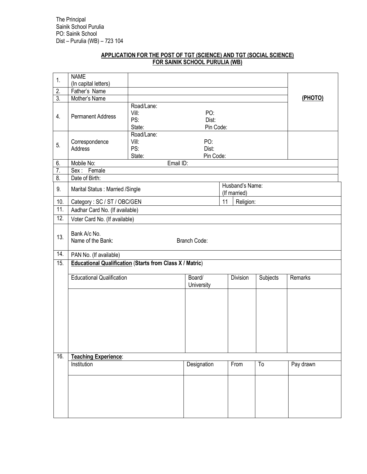## **APPLICATION FOR THE POST OF TGT (SCIENCE) AND TGT (SOCIAL SCIENCE) FOR SAINIK SCHOOL PURULIA (WB)**

| 1.               | <b>NAME</b>                                                     |                                      |                           |                                 |          |           |
|------------------|-----------------------------------------------------------------|--------------------------------------|---------------------------|---------------------------------|----------|-----------|
|                  | (In capital letters)                                            |                                      |                           |                                 |          |           |
| 2.               | Father's Name                                                   |                                      |                           |                                 |          |           |
| 3.               | Mother's Name                                                   |                                      |                           |                                 |          | (PHOTO)   |
| 4.               | <b>Permanent Address</b>                                        | Road/Lane:<br>Vill:<br>PS:<br>State: | PO:<br>Dist:<br>Pin Code: |                                 |          |           |
| 5.               | Correspondence<br>Address                                       | Road/Lane:<br>Vill:<br>PS:<br>State: | PO:<br>Dist:<br>Pin Code: |                                 |          |           |
| 6.               | Mobile No:                                                      |                                      | Email ID:                 |                                 |          |           |
| $\overline{7}$ . | Sex: Female                                                     |                                      |                           |                                 |          |           |
| $\overline{8}$   | Date of Birth:                                                  |                                      |                           |                                 |          |           |
| 9.               | Marital Status: Married /Single                                 |                                      |                           | Husband's Name:<br>(If married) |          |           |
| 10.              | Category: SC / ST / OBC/GEN                                     |                                      |                           | 11<br>Religion:                 |          |           |
| 11.              | Aadhar Card No. (If available)                                  |                                      |                           |                                 |          |           |
| 12.              | Voter Card No. (If available)                                   |                                      |                           |                                 |          |           |
|                  |                                                                 |                                      |                           |                                 |          |           |
| 13.              | Bank A/c No.<br>Name of the Bank:                               |                                      | <b>Branch Code:</b>       |                                 |          |           |
| 14.              | PAN No. (If available)                                          |                                      |                           |                                 |          |           |
| 15.              | <b>Educational Qualification (Starts from Class X / Matric)</b> |                                      |                           |                                 |          |           |
|                  |                                                                 |                                      |                           |                                 |          |           |
|                  | <b>Educational Qualification</b>                                |                                      | Board/<br>University      | Division                        | Subjects | Remarks   |
|                  |                                                                 |                                      |                           |                                 |          |           |
|                  |                                                                 |                                      |                           |                                 |          |           |
|                  |                                                                 |                                      |                           |                                 |          |           |
|                  |                                                                 |                                      |                           |                                 |          |           |
| 16.              | <b>Teaching Experience:</b>                                     |                                      |                           |                                 |          |           |
|                  | Institution                                                     |                                      | Designation               | From                            | To       | Pay drawn |
|                  |                                                                 |                                      |                           |                                 |          |           |
|                  |                                                                 |                                      |                           |                                 |          |           |
|                  |                                                                 |                                      |                           |                                 |          |           |